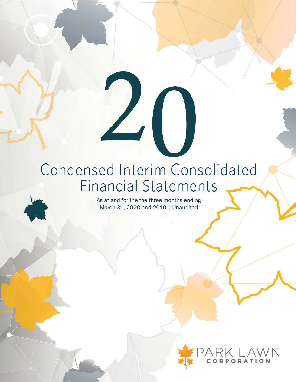## Condensed Interim Consolidated **Financial Statements**

 $L(\ )$ 

As at and for the the three months ending March 31, 2020 and 2019 | Unaudited